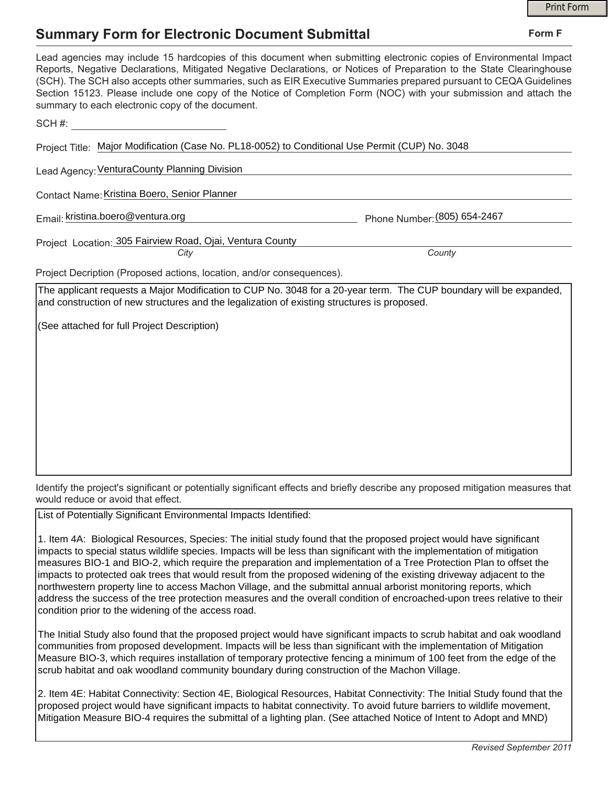## **Summary Form for Electronic Document Submittal**

|                                                                                                                                                                                                                                                                                                                                                                                                                                                                                                                                           | <b>Print Form</b> |
|-------------------------------------------------------------------------------------------------------------------------------------------------------------------------------------------------------------------------------------------------------------------------------------------------------------------------------------------------------------------------------------------------------------------------------------------------------------------------------------------------------------------------------------------|-------------------|
| <b>Summary Form for Electronic Document Submittal</b>                                                                                                                                                                                                                                                                                                                                                                                                                                                                                     | Form F            |
| Lead agencies may include 15 hardcopies of this document when submitting electronic copies of Environmental Impact<br>Reports, Negative Declarations, Mitigated Negative Declarations, or Notices of Preparation to the State Clearinghouse<br>(SCH). The SCH also accepts other summaries, such as EIR Executive Summaries prepared pursuant to CEQA Guidelines<br>Section 15123. Please include one copy of the Notice of Completion Form (NOC) with your submission and attach the<br>summary to each electronic copy of the document. |                   |
| SCH#:                                                                                                                                                                                                                                                                                                                                                                                                                                                                                                                                     |                   |
| Project Title: Major Modification (Case No. PL18-0052) to Conditional Use Permit (CUP) No. 3048                                                                                                                                                                                                                                                                                                                                                                                                                                           |                   |
| Lead Agency: VenturaCounty Planning Division                                                                                                                                                                                                                                                                                                                                                                                                                                                                                              |                   |
| Contact Name: Kristina Boero, Senior Planner                                                                                                                                                                                                                                                                                                                                                                                                                                                                                              |                   |
| Email: kristina.boero@ventura.org<br>Phone Number: (805) 654-2467                                                                                                                                                                                                                                                                                                                                                                                                                                                                         |                   |
| Project Location: 305 Fairview Road, Ojai, Ventura County<br>County<br>City                                                                                                                                                                                                                                                                                                                                                                                                                                                               |                   |
| Project Decription (Proposed actions, location, and/or consequences).                                                                                                                                                                                                                                                                                                                                                                                                                                                                     |                   |
| The applicant requests a Major Modification to CUP No. 3048 for a 20-year term. The CUP boundary will be expanded,<br>and construction of new structures and the legalization of existing structures is proposed.                                                                                                                                                                                                                                                                                                                         |                   |
| (See attached for full Project Description)                                                                                                                                                                                                                                                                                                                                                                                                                                                                                               |                   |
|                                                                                                                                                                                                                                                                                                                                                                                                                                                                                                                                           |                   |
|                                                                                                                                                                                                                                                                                                                                                                                                                                                                                                                                           |                   |
|                                                                                                                                                                                                                                                                                                                                                                                                                                                                                                                                           |                   |
|                                                                                                                                                                                                                                                                                                                                                                                                                                                                                                                                           |                   |
|                                                                                                                                                                                                                                                                                                                                                                                                                                                                                                                                           |                   |

Identify the project's significant or potentially significant effects and briefly describe any proposed mitigation measures that would reduce or avoid that effect.

List of Potentially Significant Environmental Impacts Identified:

1. Item 4A: Biological Resources, Species: The initial study found that the proposed project would have significant impacts to special status wildlife species. Impacts will be less than significant with the implementation of mitigation measures BIO-1 and BIO-2, which require the preparation and implementation of a Tree Protection Plan to offset the impacts to protected oak trees that would result from the proposed widening of the existing driveway adjacent to the northwestern property line to access Machon Village, and the submittal annual arborist monitoring reports, which address the success of the tree protection measures and the overall condition of encroached-upon trees relative to their condition prior to the widening of the access road.

The Initial Study also found that the proposed project would have significant impacts to scrub habitat and oak woodland communities from proposed development. Impacts will be less than significant with the implementation of Mitigation Measure BIO-3, which requires installation of temporary protective fencing a minimum of 100 feet from the edge of the scrub habitat and oak woodland community boundary during construction of the Machon Village.

2. Item 4E: Habitat Connectivity: Section 4E, Biological Resources, Habitat Connectivity: The Initial Study found that the proposed project would have significant impacts to habitat connectivity. To avoid future barriers to wildlife movement, Mitigation Measure BIO-4 requires the submittal of a lighting plan. (See attached Notice of Intent to Adopt and MND)